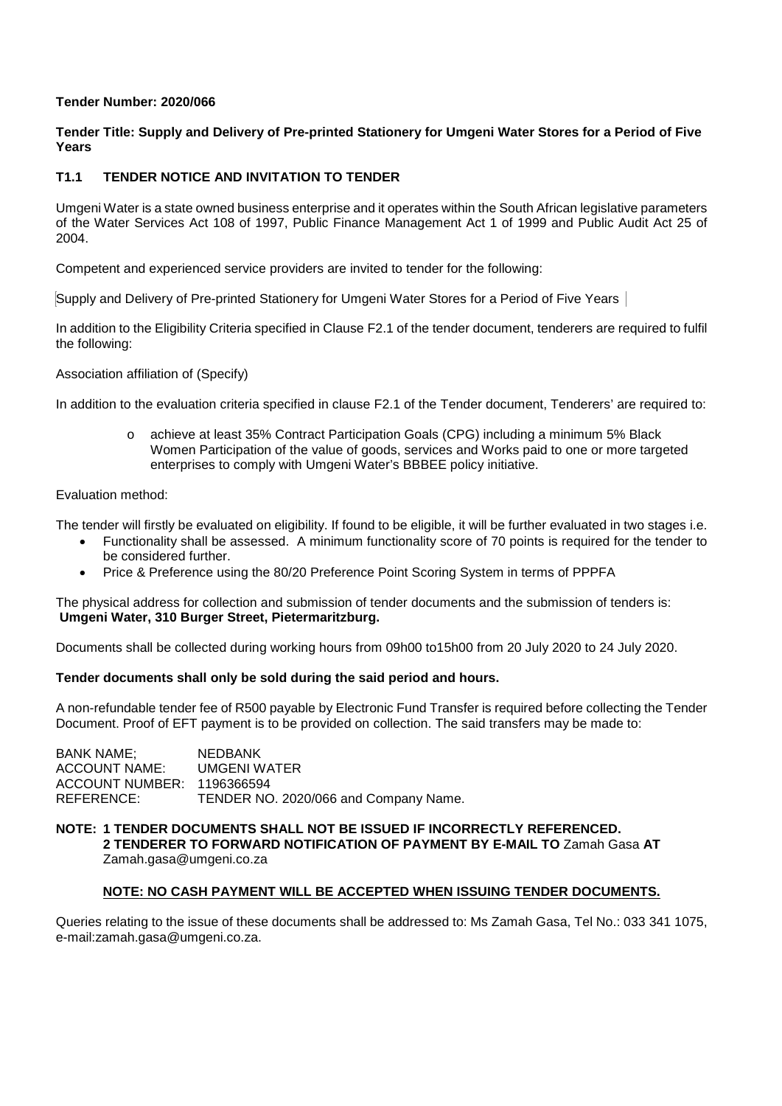## **Tender Number: 2020/066**

## **Tender Title: Supply and Delivery of Pre-printed Stationery for Umgeni Water Stores for a Period of Five Years**

# **T1.1 TENDER NOTICE AND INVITATION TO TENDER**

Umgeni Water is a state owned business enterprise and it operates within the South African legislative parameters of the Water Services Act 108 of 1997, Public Finance Management Act 1 of 1999 and Public Audit Act 25 of 2004.

Competent and experienced service providers are invited to tender for the following:

Supply and Delivery of Pre-printed Stationery for Umgeni Water Stores for a Period of Five Years

In addition to the Eligibility Criteria specified in Clause F2.1 of the tender document, tenderers are required to fulfil the following:

Association affiliation of (Specify)

In addition to the evaluation criteria specified in clause F2.1 of the Tender document, Tenderers' are required to:

achieve at least 35% Contract Participation Goals (CPG) including a minimum 5% Black Women Participation of the value of goods, services and Works paid to one or more targeted enterprises to comply with Umgeni Water's BBBEE policy initiative.

## Evaluation method:

The tender will firstly be evaluated on eligibility. If found to be eligible, it will be further evaluated in two stages i.e.

- Functionality shall be assessed. A minimum functionality score of 70 points is required for the tender to be considered further.
- Price & Preference using the 80/20 Preference Point Scoring System in terms of PPPFA

The physical address for collection and submission of tender documents and the submission of tenders is: **Umgeni Water, 310 Burger Street, Pietermaritzburg.**

Documents shall be collected during working hours from 09h00 to15h00 from 20 July 2020 to 24 July 2020.

#### **Tender documents shall only be sold during the said period and hours.**

A non-refundable tender fee of R500 payable by Electronic Fund Transfer is required before collecting the Tender Document. Proof of EFT payment is to be provided on collection. The said transfers may be made to:

BANK NAME; NEDBANK<br>ACCOUNT NAME: UMGENI WATER **ACCOUNT NAME:** ACCOUNT NUMBER: 1196366594<br>REFERENCE: TENDER NO TENDER NO. 2020/066 and Company Name.

#### **NOTE: 1 TENDER DOCUMENTS SHALL NOT BE ISSUED IF INCORRECTLY REFERENCED. 2 TENDERER TO FORWARD NOTIFICATION OF PAYMENT BY E-MAIL TO** Zamah Gasa **AT**  Zamah.gasa@umgeni.co.za

#### **NOTE: NO CASH PAYMENT WILL BE ACCEPTED WHEN ISSUING TENDER DOCUMENTS.**

Queries relating to the issue of these documents shall be addressed to: Ms Zamah Gasa, Tel No.: 033 341 1075, e-mail:zamah.gasa@umgeni.co.za.